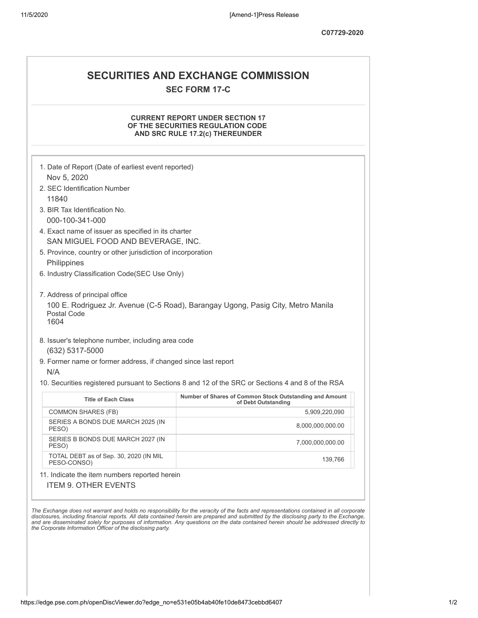## **SECURITIES AND EXCHANGE COMMISSION SEC FORM 17-C**

## **CURRENT REPORT UNDER SECTION 17 OF THE SECURITIES REGULATION CODE AND SRC RULE 17.2(c) THEREUNDER**

|                                                                                                                                               | 1. Date of Report (Date of earliest event reported)                                               |
|-----------------------------------------------------------------------------------------------------------------------------------------------|---------------------------------------------------------------------------------------------------|
| Nov 5, 2020<br>2. SEC Identification Number                                                                                                   |                                                                                                   |
| 11840                                                                                                                                         |                                                                                                   |
| 3. BIR Tax Identification No.                                                                                                                 |                                                                                                   |
| 000-100-341-000                                                                                                                               |                                                                                                   |
| 4. Exact name of issuer as specified in its charter<br>SAN MIGUEL FOOD AND BEVERAGE. INC.                                                     |                                                                                                   |
| 5. Province, country or other jurisdiction of incorporation<br>Philippines                                                                    |                                                                                                   |
| 6. Industry Classification Code(SEC Use Only)                                                                                                 |                                                                                                   |
|                                                                                                                                               |                                                                                                   |
| 7. Address of principal office                                                                                                                |                                                                                                   |
| Postal Code<br>1604                                                                                                                           | 100 E. Rodriguez Jr. Avenue (C-5 Road), Barangay Ugong, Pasig City, Metro Manila                  |
| 8. Issuer's telephone number, including area code<br>(632) 5317-5000<br>9. Former name or former address, if changed since last report<br>N/A |                                                                                                   |
|                                                                                                                                               | 10. Securities registered pursuant to Sections 8 and 12 of the SRC or Sections 4 and 8 of the RSA |
|                                                                                                                                               | Number of Shares of Common Stock Outstanding and Amount                                           |
| <b>Title of Each Class</b>                                                                                                                    | of Debt Outstanding                                                                               |
| <b>COMMON SHARES (FB)</b>                                                                                                                     | 5,909,220,090                                                                                     |
| SERIES A BONDS DUE MARCH 2025 (IN<br>PESO)                                                                                                    | 8,000,000,000.00                                                                                  |
| SERIES B BONDS DUE MARCH 2027 (IN<br>PESO)                                                                                                    | 7,000,000,000.00                                                                                  |
| TOTAL DEBT as of Sep. 30, 2020 (IN MIL<br>PESO-CONSO)                                                                                         | 139,766                                                                                           |
| 11. Indicate the item numbers reported herein                                                                                                 |                                                                                                   |
| <b>ITEM 9. OTHER EVENTS</b>                                                                                                                   |                                                                                                   |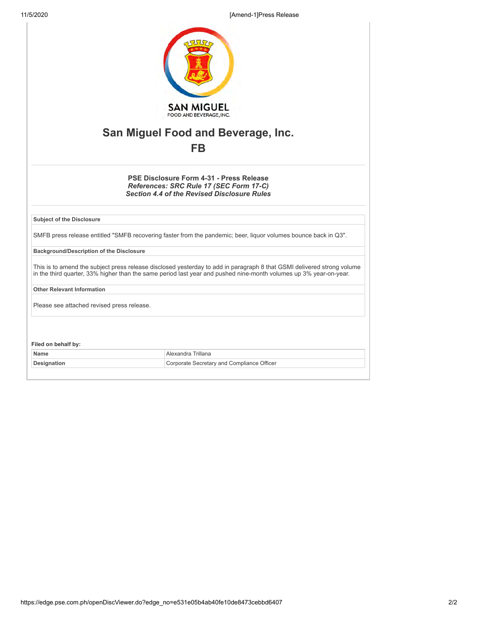11/5/2020 [Amend-1]Press Release

| <b>SAN MIGUEL</b><br>FOOD AND BEVERAGE, INC.<br>San Miguel Food and Beverage, Inc.                                                                                                                                                          |                                            |  |
|---------------------------------------------------------------------------------------------------------------------------------------------------------------------------------------------------------------------------------------------|--------------------------------------------|--|
|                                                                                                                                                                                                                                             |                                            |  |
| PSE Disclosure Form 4-31 - Press Release<br>References: SRC Rule 17 (SEC Form 17-C)<br><b>Section 4.4 of the Revised Disclosure Rules</b>                                                                                                   |                                            |  |
| <b>Subject of the Disclosure</b>                                                                                                                                                                                                            |                                            |  |
| SMFB press release entitled "SMFB recovering faster from the pandemic; beer, liquor volumes bounce back in Q3".                                                                                                                             |                                            |  |
| <b>Background/Description of the Disclosure</b>                                                                                                                                                                                             |                                            |  |
| This is to amend the subject press release disclosed yesterday to add in paragraph 8 that GSMI delivered strong volume<br>in the third quarter, 33% higher than the same period last year and pushed nine-month volumes up 3% year-on-year. |                                            |  |
| <b>Other Relevant Information</b>                                                                                                                                                                                                           |                                            |  |
| Please see attached revised press release.                                                                                                                                                                                                  |                                            |  |
| Filed on behalf by:                                                                                                                                                                                                                         |                                            |  |
| <b>Name</b>                                                                                                                                                                                                                                 | Alexandra Trillana                         |  |
| Designation                                                                                                                                                                                                                                 | Corporate Secretary and Compliance Officer |  |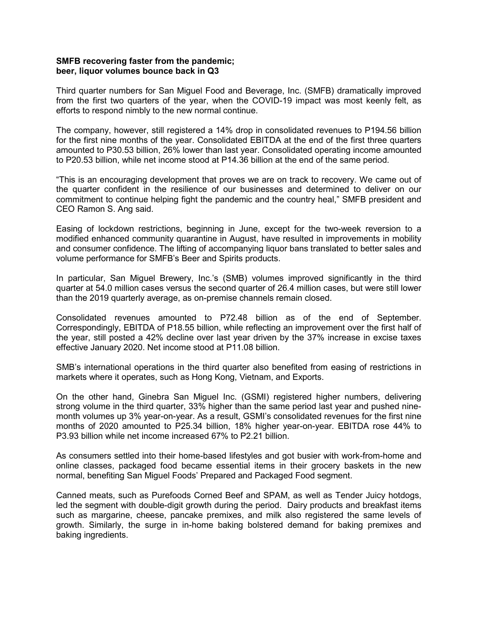## **SMFB recovering faster from the pandemic; beer, liquor volumes bounce back in Q3**

Third quarter numbers for San Miguel Food and Beverage, Inc. (SMFB) dramatically improved from the first two quarters of the year, when the COVID-19 impact was most keenly felt, as efforts to respond nimbly to the new normal continue.

The company, however, still registered a 14% drop in consolidated revenues to P194.56 billion for the first nine months of the year. Consolidated EBITDA at the end of the first three quarters amounted to P30.53 billion, 26% lower than last year. Consolidated operating income amounted to P20.53 billion, while net income stood at P14.36 billion at the end of the same period.

"This is an encouraging development that proves we are on track to recovery. We came out of the quarter confident in the resilience of our businesses and determined to deliver on our commitment to continue helping fight the pandemic and the country heal," SMFB president and CEO Ramon S. Ang said.

Easing of lockdown restrictions, beginning in June, except for the two-week reversion to a modified enhanced community quarantine in August, have resulted in improvements in mobility and consumer confidence. The lifting of accompanying liquor bans translated to better sales and volume performance for SMFB's Beer and Spirits products.

In particular, San Miguel Brewery, Inc.'s (SMB) volumes improved significantly in the third quarter at 54.0 million cases versus the second quarter of 26.4 million cases, but were still lower than the 2019 quarterly average, as on-premise channels remain closed.

Consolidated revenues amounted to P72.48 billion as of the end of September. Correspondingly, EBITDA of P18.55 billion, while reflecting an improvement over the first half of the year, still posted a 42% decline over last year driven by the 37% increase in excise taxes effective January 2020. Net income stood at P11.08 billion.

SMB's international operations in the third quarter also benefited from easing of restrictions in markets where it operates, such as Hong Kong, Vietnam, and Exports.

On the other hand, Ginebra San Miguel Inc. (GSMI) registered higher numbers, delivering strong volume in the third quarter, 33% higher than the same period last year and pushed ninemonth volumes up 3% year-on-year. As a result, GSMI's consolidated revenues for the first nine months of 2020 amounted to P25.34 billion, 18% higher year-on-year. EBITDA rose 44% to P3.93 billion while net income increased 67% to P2.21 billion.

As consumers settled into their home-based lifestyles and got busier with work-from-home and online classes, packaged food became essential items in their grocery baskets in the new normal, benefiting San Miguel Foods' Prepared and Packaged Food segment.

Canned meats, such as Purefoods Corned Beef and SPAM, as well as Tender Juicy hotdogs, led the segment with double-digit growth during the period. Dairy products and breakfast items such as margarine, cheese, pancake premixes, and milk also registered the same levels of growth. Similarly, the surge in in-home baking bolstered demand for baking premixes and baking ingredients.